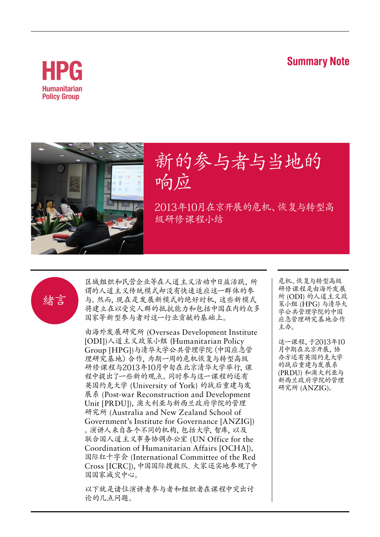#### **Summary Note**





# 新的参与者与当地的 响应

2013年10月在京开展的危机、恢复与转型高 级研修课程小结



区域组织和民营企业等在人道主义活动中日益活跃,所 谓的人道主义传统模式却没有快速适应这一群体的参 与。然而,现在是发展新模式的绝好时机,这些新模式 将建立在以受灾人群的抵抗能力和包括中国在内的众多 国家等新型参与者对这一行业贡献的基础上。

由海外发展研究所 (Overseas Development Institute [ODI])人道主义政策小组 (Humanitarian Policy Group [HPG])与清华大学公共管理学院(中国应急管 理研究基地)合作,为期一周的危机恢复与转型高级 研修课程与2013年10月中旬在北京清华大学举行,课 程中提出了一些新的观点。同时参与这一课程的还有 英国约克大学 (University of York) 的战后重建与发 展系 (Post-war Reconstruction and Development Unit [PRDU]),澳大利亚与新西兰政府学院的管理 研究所 (Australia and New Zealand School of Government's Institute for Governance [ANZIG]) 。演讲人来自各个不同的机构,包括大学,智库,以及 联合国人道主义事务协调办公室 (UN Office for the Coordination of Humanitarian Affairs [OCHA]), 国际红十字会 (International Committee of the Red Cross [ICRC]),中国国际搜救队. 大家还实地参观了中 国国家减灾中心。

以下就是诸位演讲者参与者和组织者在课程中突出讨 论的几点问题。

危机、恢复与转型高级 研修课程是由海外发展 所 (ODI) 的人道主义政 策小组 (HPG) 与清华大 学公共管理学院的中国 应急管理研究基地合作 主办。

这一课程,于2013年10 月中期在北京开展,协 办方还有英国约克大学 的战后重建与发展系 (PRDU) 和澳大利亚与 新西兰政府学院的管理 研究所 (ANZIG)。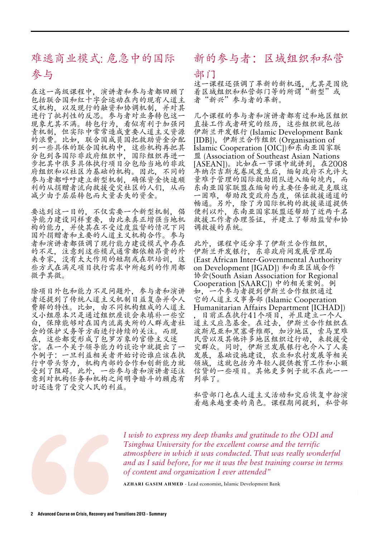### 难逃商业模式: 危急中的国际 参与

在这一高级课程中,演讲者和参与者都回顾了 包括联合国和红十字会运动在内的现有人道主 义机构, 以及现行的融资和协调机制, 并对其 进行了批判性的反思。参与者对业务转包这一 现象尤其不满。转包行为,看似有利于加强问 责机制,但实际中常常造成重要人道主义资源 的浪费。比如,联合国成员国把救助资金分配 到一些具体的联合国机构中,这些机构再把其 分包到各国际非政府组织中,国际组织再进一 步把其中很多具体执行项目分包给当地的非政 府组织和以社区为基础的机构。因此,不同的 参与者都呼吁建立新型机制,确保资金快速顺 利的从捐赠者流向救援受灾社区的人们,从而 减少由于层层转包而大量丢失的资金。

要达到这一目的,不仅需要一个新型机制,倡 导能力建设同样重要,由此来真正增强当地机 构的能力,并使其在不受过度监督的情况下同 国外捐赠者和主要的人道主义机构合作。参与 者和演讲者都强调了现行能力建设模式中存在 的不足,注意到这些模式通常都依赖昂贵的外 来专家,没有太大作用的短期或在职培训,这 些方式在满足项目执行需求中所起到的作用都 微乎其微。

除项目外包和能力不足问题外,参与者和演讲 者还提到了传统人道主义机制日益复杂并令人 费解的特性。比如,由不同机构组成的人道主 义小组原本只是通过组织座谈会来填补一些空 白,保障能够对在国内流离失所的人群或者社 会的保护义务等方面进行持续的关注。而现 在,这些都变形成了包罗万象的官僚主义迷 宫。在一个关于领导能力的谈论中就提出了一 个例子:一旦利益相关者开始讨论谁应该在执 行中带头努力,机构内部的合作和创新能力就 受到了阻碍。此外,一些参与者和演讲者还注 意到对机构任务和机构之间明争暗斗的顾虑有 时还违背了受灾人民的利益。

#### 新的参与者:区域组织和私营

#### 部门

这一课程还强调了革新的新机遇,尤其是围绕 着区域组织和私营部门等的所谓"新型"或 者"新兴"参与者的革新。

几个课程的参与者和演讲者都有过和地区组织 直接工作或者研究的经历,这些组织就包括 伊斯兰开发银行 (Islamic Development Bank [IDB]),伊斯兰合作组织 (Organisation of Islamic Cooperation [OIC])和东南亚国家联 盟 (Association of Southeast Asian Nations [ASEAN])。比如在一节课中就讲到,在2008 年纳尔吉斯龙卷风发生后,缅甸政府不允许大 量难于管理的国际救助团队进入缅甸境内,而 东南亚国家联盟在缅甸的主要任务就是克服这 一困难,帮助改变政府态度,保证救援通道的 畅通。另外,除了为国际机构的救援渠道提供 便利以外,东南亚国家联盟还帮助了近两千名 救援工作者办理签证,并建立了帮助监督和协 调救援的系统。

此外,课程中还分享了伊斯兰合作组织, 伊斯兰开发银行,东非政府间发展管理局 (East African Inter-Governmental Authority on Development [IGAD]) 和南亚区域合作 协会(South Asian Association for Regional Cooperation [SAARC]) 中的相关案例。例 如,一个参与者提到伊斯兰合作组织通过 它的人道主义事务部 (Islamic Cooperation Humanitarian Affairs Department [ICHAD]) 目前正在执行41个项目,并且建立一个人 道主义应急基金。在过去,伊斯兰合作组织在 波斯尼亚和黑塞哥维那,加沙地区,索马里难 民营以及其他许多地区组织过行动,来救援受 灾群众。同时,伊斯兰发展银行也介入了人类 发展,基础设施建设,农业和农村发展等相关 领域,这就包括为年轻人提供教育工作和小额 信贷的一些项目。其他更多例子就不在此一 列举了。

私营部门也在人道主义活动和灾后恢复中扮演 着越来越重要的角色。课程期间提到,私营部



*I wish to express my deep thanks and gratitude to the ODI and Tsinghua University for the excellent course and the terrific atmosphere in which it was conducted. That was really wonderful and as I said before, for me it was the best training course in terms of content and organization I ever attended"*

**Azhari Gasim Ahmed** - Lead economist, Islamic Development Bank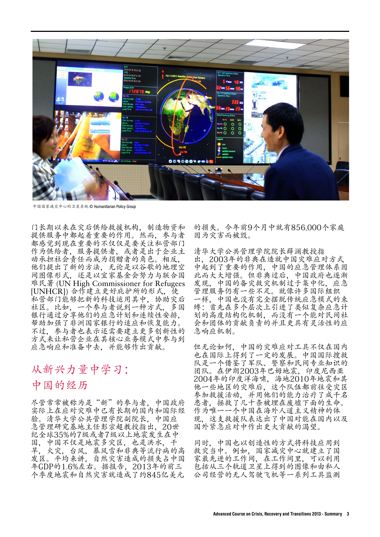

家减灾中心的卫星系统 © Humanitarian Policy Group

门长期以来在灾后供给救援机构,制造物资和 提供服务中都起着重要的作用。然而,参与者 都感觉到现在重要的不仅仅是要关注私营部门 作为供给者,服务提供者,或者是出于企业主 动承担社会责任而成为捐赠者的角色。相反, 他们提出了新的方法,无论是以谷歌的地理空 间图像形式,还是以宜家基金会努力与联合国 难民署 (UN High Commissioner for Refugees [UNHCR]) 合作建立更好庇护所的形式, 使 私营部门能够把新的科技运用其中,协助灾后 社区。比如,一个参与者说到一种方式,多国 银行通过分享他们的应急计划和连续性安排, 帮助加强了非洲国家银行的适应和恢复能力。 不过,参与者也表示还需要建立更多创新性的 方式来让私营企业在其核心业务模式中参与到 应急响应和准备中去,并能够作出贡献。

### 从新兴力量中学习: 中国的经历

尽管常常被称为是"新"的参与者,中国政府 实际上在应对灾难中已有长期的国内和国际经 验。清华大学公共管理学院副院长,中国应 急管理研究基地主任彭宗超教授指出,20世 纪全球35%的7级或者7级以上地震发生在中 国,中国不仅是地震多灾区,也是洪水,干 旱,火灾,台风,暴风雪和非典等流行病的高 发区。平均来讲,自然灾害造成的损失占中国 年GDP的1.6%左右。据报告,2013年的前三 个季度地震和自然灾害就造成了约845亿美元

的损失。今年前9个月中就有856,000个家庭 因为灾害而被毁。

清华大学公共管理学院院长薛澜教授指 出,2003年的非典在造就中国灾难应对方式 中起到了重要的作用,中国的应急管理体系因 此而大大增强。但非典过后,中国政府也逐渐 发现,中国的备灾救灾机制过于集中化,应急 管理服务仍有一些不足。就像许多国际组织 一样,中国也没有完全摆脱传统应急模式的束 缚:首先在多个层次上引进了类似复杂应急计 划的高度结构化机制,而没有一个能对民间社 会和团体的贡献负责的并且更具有灵活性的应 急响应机制。

但无论如何,中国的灾难应对工具不仅在国内 也在国际上得到了一定的发展。中国国际搜救 队是一个借鉴了军队、警察和民间专业知识的 团队。在伊朗2003年巴姆地震,印度尼西亚 2004年的印度洋海啸,海地2010年地震和其 他一些地区的灾难后,这个队伍都前往受灾区 参加救援活动,并用他们的能力治疗了成千名 患者,拯救了几十条被埋在废墟下面的生命。 作为唯一一个中国在海外人道主义精神的体 现,这支救援队表达出了中国对能在国内以及 国外紧急应对中作出更大贡献的渴望。

同时,中国也以创造性的方式将科技应用到 救灾当中。例如,国家减灾中心就建立了国 家最先进的工作间,在工作间里,可以利用 包括从三个轨道卫星上得到的图像和由私人 公司经营的无人驾驶飞机等一系列工具监测